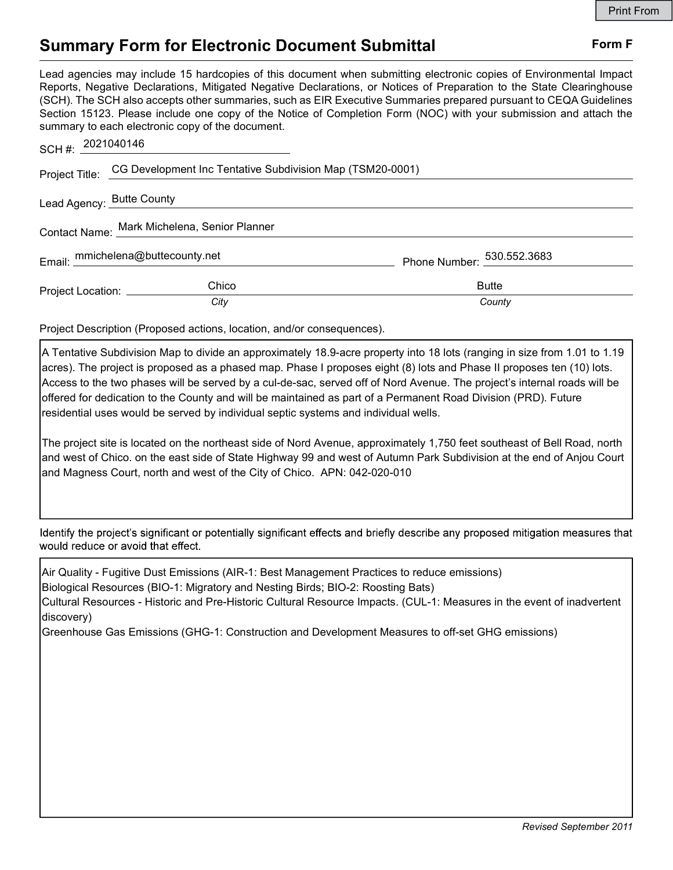## Summary Form for Electronic Document Submittal Form F

Lead agencies may include 15 hardcopies of this document when submitting electronic copies of Environmental Impact Reports, Negative Declarations, Mitigated Negative Declarations, or Notices of Preparation to the State Clearinghouse (SCH). The SCH also accepts other summaries, such as EIR Executive Summaries prepared pursuant to CEQA Guidelines Section 15123. Please include one copy of the Notice of Completion Form (NOC) with your submission and attach the summary to each electronic copy of the document.

| SCH#: 2021040146                             |                                                                          |                            |
|----------------------------------------------|--------------------------------------------------------------------------|----------------------------|
|                                              | Project Title: CG Development Inc Tentative Subdivision Map (TSM20-0001) |                            |
| Lead Agency: Butte County                    |                                                                          |                            |
| Contact Name: Mark Michelena, Senior Planner |                                                                          |                            |
|                                              | Email: mmichelena@buttecounty.net                                        | Phone Number: 530.552.3683 |
| Project Location: _____________              | Chico                                                                    | <b>Butte</b>               |
|                                              | City                                                                     | County                     |

Project Description (Proposed actions, location, and/or consequences).

A Tentative Subdivision Map to divide an approximately 18.9-acre property into 18 lots (ranging in size from 1.01 to 1.19 acres). The project is proposed as a phased map. Phase I proposes eight (8) lots and Phase II proposes ten (10) lots. Access to the two phases will be served by a cul-de-sac, served off of Nord Avenue. The project's internal roads will be offered for dedication to the County and will be maintained as part of a Permanent Road Division (PRD). Future residential uses would be served by individual septic systems and individual wells.

The project site is located on the northeast side of Nord Avenue, approximately 1,750 feet southeast of Bell Road, north and west of Chico. on the east side of State Highway 99 and west of Autumn Park Subdivision at the end of Anjou Court and Magness Court, north and west of the City of Chico. APN: 042-020-010

Identify the project's significant or potentially significant effects and briefly describe any proposed mitigation measures that would reduce or avoid that effect.

Air Quality - Fugitive Dust Emissions (AIR-1: Best Management Practices to reduce emissions) Biological Resources (BIO-1: Migratory and Nesting Birds; BIO-2: Roosting Bats) Cultural Resources - Historic and Pre-Historic Cultural Resource Impacts. (CUL-1: Measures in the event of inadvertent discovery)

Greenhouse Gas Emissions (GHG-1: Construction and Development Measures to off-set GHG emissions)